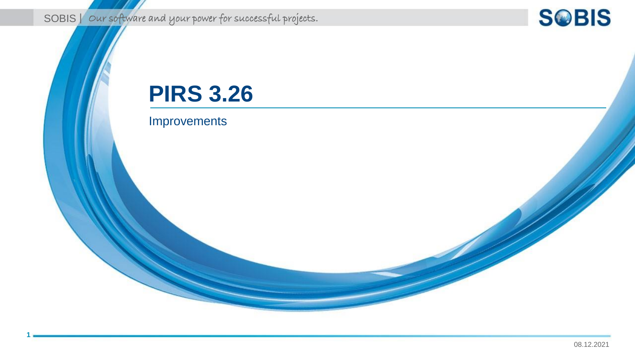SOBIS | Our software and your power for successful projects.

## **SOBIS**

# **PIRS 3.26**

### Improvements

**1**

08.12.2021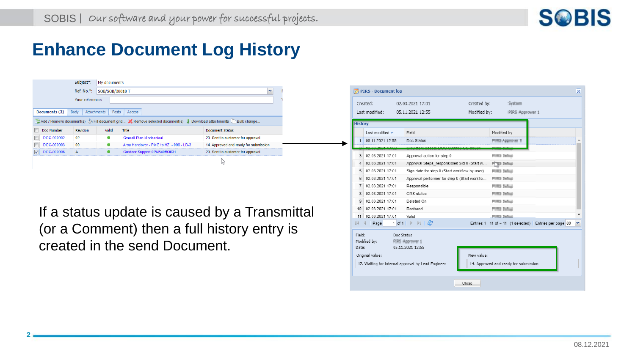

## **Enhance Document Log History**

|                                                                                                                                                                                           | Subject*:  | My documents         |                                         |                                       |  |
|-------------------------------------------------------------------------------------------------------------------------------------------------------------------------------------------|------------|----------------------|-----------------------------------------|---------------------------------------|--|
|                                                                                                                                                                                           | Ref. No.*: | SOB/SOB/00018 T<br>v |                                         |                                       |  |
| Your reference:                                                                                                                                                                           |            |                      |                                         |                                       |  |
| Documents (3)<br><b>Attachments</b><br>Body<br>Posts<br><b>Access</b><br>Add / Remove document(s) Fill document grid X Remove selected document(s) J. Download attachments In Bulk change |            |                      |                                         |                                       |  |
| Doc Number                                                                                                                                                                                | Revision   | Valid                | Title                                   | <b>Document Status</b>                |  |
| F<br>DOC-000002                                                                                                                                                                           | 02         | ۰                    | <b>Overall Plan Mechanical</b>          | 20. Sent to customer for approval     |  |
|                                                                                                                                                                                           |            |                      | Area Handover - PMG to HZI - 006 - LD-3 |                                       |  |
| Г<br>DOC-000003                                                                                                                                                                           | 00         | ۰                    |                                         | 14. Approved and ready for submission |  |
| V<br>DOC-000006                                                                                                                                                                           | A          |                      | Outdoor Support 0PAB40BQ031             | 20. Sent to customer for approval     |  |

If a status update is caused by a Transmittal (or a Comment) then a full history entry is created in the send Document.

**2**

|                | Created:         | 02.03.2021 17:01                                                  | Created by:  |                        | System                                |                                                         |   |
|----------------|------------------|-------------------------------------------------------------------|--------------|------------------------|---------------------------------------|---------------------------------------------------------|---|
|                | Last modified:   | 05.11.2021 12:55                                                  | Modified by: |                        | PBS Approver 1                        |                                                         |   |
| <b>History</b> |                  |                                                                   |              |                        |                                       |                                                         |   |
|                | I ast modified - | Field                                                             |              | Modified by            |                                       |                                                         |   |
| $\mathbf{1}$   | 05 11 2021 12:55 | Doc Status                                                        |              | <b>PORT-Approver 1</b> |                                       |                                                         |   |
|                | 03.03.3034.47-03 | 000u<br><b>HAALDOO GOOGS OU</b>                                   |              |                        |                                       |                                                         |   |
| 3              | 02 03 2021 17:01 | Approval action for step 0                                        |              | FOR Delta:             |                                       |                                                         |   |
| 4              | 02 03 2021 17:01 | Approval Steps responsibles Sid 0 (Start w                        |              | PTV3 Debut             |                                       |                                                         |   |
| 5              | 02.03.2021 17:01 | Sign date for step 0 (Start workflow by user)                     |              | <b>FORD Defeat</b>     |                                       |                                                         |   |
| 6              | 02.03.2021 17:01 | Approval performer for step 0 (Start workflo                      |              | <b>PURCE Defined</b>   |                                       |                                                         |   |
| $\overline{7}$ | 02.03.2021 17:01 | Responsible                                                       |              | <b>FORD Delta:</b>     |                                       |                                                         |   |
| 8              | 02.03.2021 17:01 | CRS status                                                        |              | <b>PURCE Defined</b>   |                                       |                                                         |   |
| 9              | 02.03.2021 17:01 | Deleted On                                                        |              | <b>PURCE Democi</b>    |                                       |                                                         |   |
| 10             | 02.03.2021 17:01 | Restored                                                          |              | <b>POUL Defeat</b>     |                                       |                                                         |   |
| 11             | 02.03.2021 17:01 | Valid                                                             |              | <b>PORT STORY</b>      |                                       |                                                         |   |
| $\mathbb{R}$   | Page<br>∢        | 1 of 1 $\triangleright$ $\triangleright$ $\parallel$ $\mathbb{C}$ |              |                        |                                       | Entries 1 - 11 of ~ 11 (1 selected) Entries per page 80 | v |
| Field:         | Doc Status       |                                                                   |              |                        |                                       |                                                         |   |
|                | Modified by:     | PSRS Approver 11                                                  |              |                        |                                       |                                                         |   |
| Date:          |                  | 05.11.2021 12:55                                                  |              |                        |                                       |                                                         |   |
|                | Original value:  |                                                                   | New value:   |                        |                                       |                                                         |   |
|                |                  | 12. Waiting for internal approval by Lead Engineer                |              |                        | 14. Approved and ready for submission |                                                         |   |
|                |                  |                                                                   |              |                        |                                       |                                                         |   |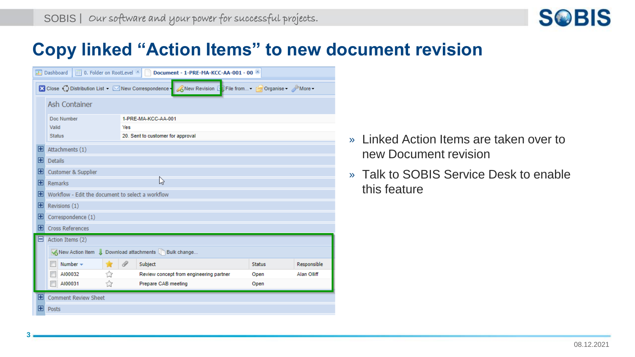

## **Copy linked "Action Items" to new document revision**

|              | <b>■ 0. Folder on RootLevel</b> [※]<br><b>HI</b> Dashboard | Document - 1-PRE-MA-KCC-AA-001 - 00                                                                    |               |             |  |  |  |
|--------------|------------------------------------------------------------|--------------------------------------------------------------------------------------------------------|---------------|-------------|--|--|--|
|              |                                                            | ■ Close ● Clistribution List ▼ Mew Correspondence ● A New Revision Di File from • Porganise • A More • |               |             |  |  |  |
|              | Ash Container                                              |                                                                                                        |               |             |  |  |  |
|              | Doc Number                                                 | 1-PRE-MA-KCC-AA-001                                                                                    |               |             |  |  |  |
|              | Valid                                                      | Yes                                                                                                    |               |             |  |  |  |
|              | 20. Sent to customer for approval<br><b>Status</b>         |                                                                                                        |               |             |  |  |  |
| $\mathbf{F}$ | Attachments (1)                                            |                                                                                                        |               |             |  |  |  |
| $\mathbf{F}$ | <b>Details</b>                                             |                                                                                                        |               |             |  |  |  |
| $\mathbf{F}$ | Customer & Supplier                                        |                                                                                                        |               |             |  |  |  |
| F            | ば<br>Remarks                                               |                                                                                                        |               |             |  |  |  |
| $\mathbf{E}$ | Workflow - Edit the document to select a workflow          |                                                                                                        |               |             |  |  |  |
| E            | Revisions (1)                                              |                                                                                                        |               |             |  |  |  |
| $\mathbf{E}$ | Correspondence (1)                                         |                                                                                                        |               |             |  |  |  |
| $\mathbf{F}$ | <b>Cross References</b>                                    |                                                                                                        |               |             |  |  |  |
| IΞ           | Action Items (2)                                           |                                                                                                        |               |             |  |  |  |
|              | KNew Action Item ↓ Download attachments DBulk change       |                                                                                                        |               |             |  |  |  |
|              | Number $\sim$<br>w                                         | $\mathscr{D}$<br>Subject                                                                               | <b>Status</b> | Responsible |  |  |  |
|              | AI00032<br>ŵ                                               | Review concept from engineering partner                                                                | Open          | Alan Olliff |  |  |  |
|              | ☆<br>AI00031                                               | Prepare CAB meeting                                                                                    | Open          |             |  |  |  |
| $\mathbf{F}$ | <b>Comment Review Sheet</b>                                |                                                                                                        |               |             |  |  |  |
| H            | Posts                                                      |                                                                                                        |               |             |  |  |  |

**3**

- » Linked Action Items are taken over to new Document revision
- » Talk to SOBIS Service Desk to enable this feature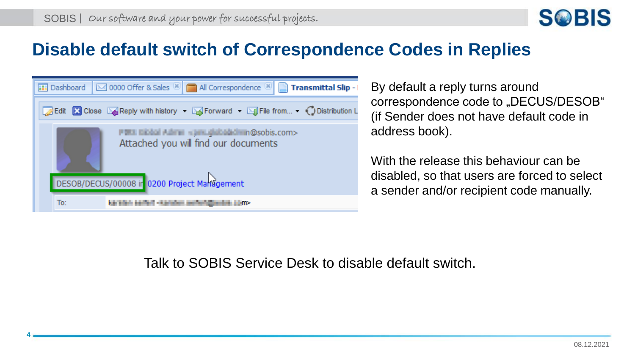

## **Disable default switch of Correspondence Codes in Replies**

|     | <b></b> Dashboard   ⊠ 0000 Offer & Sales <sup>[x]</sup>   all Correspondence <sup>[x]</sup>   Transmittal Slip - |
|-----|------------------------------------------------------------------------------------------------------------------|
|     | Edit & Close & Reply with history via Florward v M File from V Distribution L                                    |
|     | PERI Biobal Admin « privilightbadicism @sobis.com><br>Attached you will find our documents                       |
|     | DESOB/DECUS/00008 ir 0200 Project Management                                                                     |
| To: | Ada Ballana Adamani - A Antarioni aperter contenta                                                               |

**4**

By default a reply turns around correspondence code to "DECUS/DESOB" (if Sender does not have default code in address book).

With the release this behaviour can be disabled, so that users are forced to select a sender and/or recipient code manually.

Talk to SOBIS Service Desk to disable default switch.